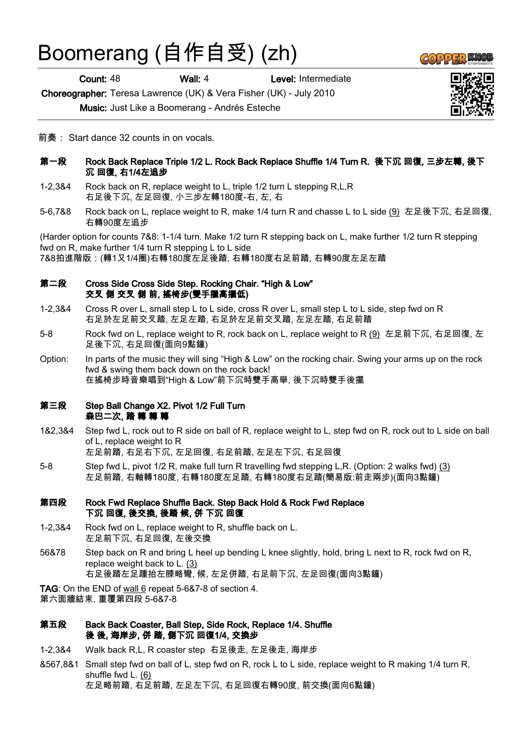# Boomerang (自作自受) (zh)

Count: 48 Wall: 4 Level: Intermediate

Choreographer: Teresa Lawrence (UK) & Vera Fisher (UK) - July 2010

Music: Just Like a Boomerang - Andrés Esteche

前奏: Start dance 32 counts in on vocals.

- 第一段 Rock Back Replace Triple 1/2 L. Rock Back Replace Shuffle 1/4 Turn R. 後下沉 回復, 三步左轉, 後下 沉 回復, 右1/4左追步
- 1-2,3&4 Rock back on R, replace weight to L, triple 1/2 turn L stepping R,L,R 右足後下沉, 左足回復, 小三步左轉180度-右, 左, 右
- 5-6,7&8 Rock back on L, replace weight to R, make 1/4 turn R and chasse L to L side (9) 左足後下沉, 右足回復, 右轉90度左追步

(Harder option for counts 7&8: 1-1/4 turn. Make 1/2 turn R stepping back on L, make further 1/2 turn R stepping fwd on R, make further 1/4 turn R stepping L to L side 7&8拍進階版:(轉1又1/4圈)右轉180度左足後踏, 右轉180度右足前踏, 右轉90度左足左踏

- 第二段 Cross Side Cross Side Step. Rocking Chair. "High & Low" 交叉 側 交叉 側 前, 搖椅步(雙手擺高擺低)
- 1-2,3&4 Cross R over L, small step L to L side, cross R over L, small step L to L side, step fwd on R 右足於左足前交叉踏, 左足左踏, 右足於左足前交叉踏, 左足左踏, 右足前踏
- 5-8 Rock fwd on L, replace weight to R, rock back on L, replace weight to R (9) 左足前下沉, 右足回復, 左 足後下沉, 右足回復(面向9點鐘)
- Option: In parts of the music they will sing "High & Low" on the rocking chair. Swing your arms up on the rock fwd & swing them back down on the rock back! 在搖椅步時音樂唱到"High & Low"前下沉時雙手高舉, 後下沉時雙手後擺

## 第三段 Step Ball Change X2. Pivot 1/2 Full Turn 森巴二次, 踏 轉 轉 轉

1&2,3&4 Step fwd L, rock out to R side on ball of R, replace weight to L, step fwd on R, rock out to L side on ball of L, replace weight to R

左足前踏, 右足右下沉, 左足回復, 右足前踏, 左足左下沉, 右足回復

5-8 Step fwd L, pivot 1/2 R, make full turn R travelling fwd stepping L,R. (Option: 2 walks fwd) (3) 左足前踏, 右軸轉180度, 右轉180度左足踏, 右轉180度右足踏(簡易版:前走兩步)(面向3點鐘)

### 第四段 Rock Fwd Replace Shuffle Back. Step Back Hold & Rock Fwd Replace 下沉 回復, 後交換, 後踏 候, 併 下沉 回復

- 1-2,3&4 Rock fwd on L, replace weight to R, shuffle back on L. 左足前下沉, 右足回復, 左後交換
- 56&78 Step back on R and bring L heel up bending L knee slightly, hold, bring L next to R, rock fwd on R, replace weight back to L. (3) 右足後踏左足踵抬左膝略彎, 候, 左足併踏, 右足前下沉, 左足回復(面向3點鐘)

TAG: On the END of wall 6 repeat 5-6&7-8 of section 4. 第六面牆結束, 重覆第四段 5-6&7-8

- 第五段 Back Back Coaster, Ball Step, Side Rock, Replace 1/4. Shuffle 後 後, 海岸步, 併 踏, 側下沉 回復1/4, 交換步
- 1-2,3&4 Walk back R,L, R coaster step 右足後走, 左足後走, 海岸步
- &567,8&1 Small step fwd on ball of L, step fwd on R, rock L to L side, replace weight to R making 1/4 turn R, shuffle fwd L. (6) 左足略前踏, 右足前踏, 左足左下沉, 右足回復右轉90度, 前交換(面向6點鐘)